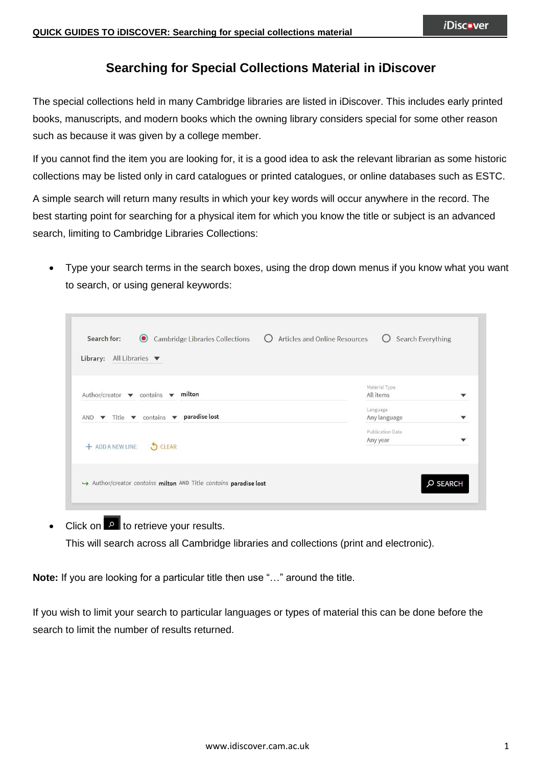# **Searching for Special Collections Material in iDiscover**

The special collections held in many Cambridge libraries are listed in iDiscover. This includes early printed books, manuscripts, and modern books which the owning library considers special for some other reason such as because it was given by a college member.

If you cannot find the item you are looking for, it is a good idea to ask the relevant librarian as some historic collections may be listed only in card catalogues or printed catalogues, or online databases such as ESTC.

A simple search will return many results in which your key words will occur anywhere in the record. The best starting point for searching for a physical item for which you know the title or subject is an advanced search, limiting to Cambridge Libraries Collections:

 Type your search terms in the search boxes, using the drop down menus if you know what you want to search, or using general keywords:

| All Libraries $\blacktriangledown$<br>Library:                                                  |                              |  |
|-------------------------------------------------------------------------------------------------|------------------------------|--|
| milton<br>Author/creator $\blacktriangledown$ contains $\blacktriangledown$                     | Material Type<br>All items   |  |
| AND $\blacktriangledown$ Title $\blacktriangledown$ contains $\blacktriangledown$ paradise lost | Language<br>Any language     |  |
| + ADD A NEW LINE<br><b>O</b> CLEAR                                                              | Publication Date<br>Any year |  |
|                                                                                                 |                              |  |

Click on  $\boxed{\circ}$  to retrieve your results. This will search across all Cambridge libraries and collections (print and electronic).

**Note:** If you are looking for a particular title then use "..." around the title.

If you wish to limit your search to particular languages or types of material this can be done before the search to limit the number of results returned.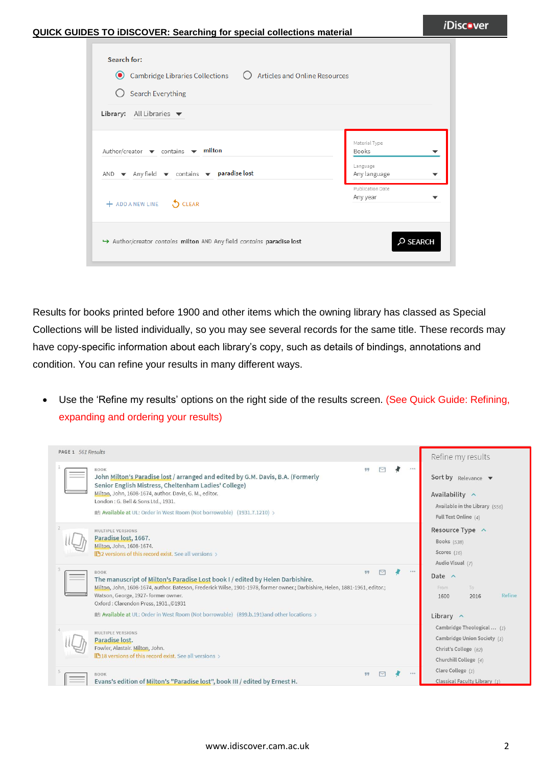| Search for:<br>● Cambridge Libraries Collections  ○ Articles and Online Resources<br><b>Search Everything</b><br>Library: All Libraries $\blacktriangledown$                    |                                                                               |
|---------------------------------------------------------------------------------------------------------------------------------------------------------------------------------|-------------------------------------------------------------------------------|
| Author/creator $\blacktriangledown$ contains $\blacktriangledown$ milton<br>AND $\blacktriangledown$ Any field $\blacktriangledown$ contains $\blacktriangledown$ paradise lost | Material Type<br><b>Books</b><br>Language<br>Any language<br>Publication Date |
| + ADD A NEW LINE CLEAR<br>Author/creator contains milton AND Any field contains paradise lost                                                                                   | Any year<br>O SEARCH                                                          |

Results for books printed before 1900 and other items which the owning library has classed as Special Collections will be listed individually, so you may see several records for the same title. These records may have copy-specific information about each library's copy, such as details of bindings, annotations and condition. You can refine your results in many different ways.

 Use the 'Refine my results' options on the right side of the results screen. (See Quick Guide: Refining, expanding and ordering your results)

| PAGE 1 561 Results |                                                                                                                                                                                                                                                                                                                                                                                                            |  |       | Refine my results                                                                                                         |
|--------------------|------------------------------------------------------------------------------------------------------------------------------------------------------------------------------------------------------------------------------------------------------------------------------------------------------------------------------------------------------------------------------------------------------------|--|-------|---------------------------------------------------------------------------------------------------------------------------|
|                    | <b>BOOK</b><br>99<br>John Milton's Paradise lost / arranged and edited by G.M. Davis, B.A. (Formerly<br>Senior English Mistress, Cheltenham Ladies' College)<br>Milton, John, 1608-1674, author. Davis, G. M., editor.<br>London: G. Bell & Sons Ltd., 1931.<br>Mult Available at UL: Order in West Room (Not borrowable) (1931.7.1210) >                                                                  |  | 0.0.0 | Sort by Relevance $\blacktriangledown$<br>Availability $\wedge$<br>Available in the Library (556)<br>Full Text Online (4) |
|                    | MULTIPLE VERSIONS<br>Paradise lost, 1667.<br>Milton, John, 1608-1674.<br>ILA2 versions of this record exist. See all versions >                                                                                                                                                                                                                                                                            |  |       | Resource Type ^<br><b>Books</b> (538)<br>Scores $(16)$<br>Audio Visual (7)                                                |
|                    | <b>BOOK</b><br>可可<br>The manuscript of Milton's Paradise Lost book I / edited by Helen Darbishire.<br>Milton, John, 1608-1674, author. Bateson, Frederick Wilse, 1901-1978, former owner.; Darbishire, Helen, 1881-1961, editor.;<br>Watson, George, 1927-former owner.<br>Oxford: Clarendon Press, 1931., ©1931<br>Available at UL: Order in West Room (Not borrowable) (899.b.191) and other locations > |  |       | Date $\land$<br>To:<br>From<br>Refine<br>1600<br>2016<br>Library $\wedge$                                                 |
|                    | MULTIPLE VERSIONS<br>Paradise lost.<br>Fowler, Alastair. Milton, John.<br>ID 18 versions of this record exist. See all versions >                                                                                                                                                                                                                                                                          |  |       | Cambridge Theological  (1)<br>Cambridge Union Society (1)<br>Christ's College (82)<br>Churchill College (4)               |
|                    | 99<br><b>BOOK</b><br>Evans's edition of Milton's "Paradise lost", book III / edited by Ernest H.                                                                                                                                                                                                                                                                                                           |  | 0.0.0 | Clare College (1)<br>Classical Faculty Library (1)                                                                        |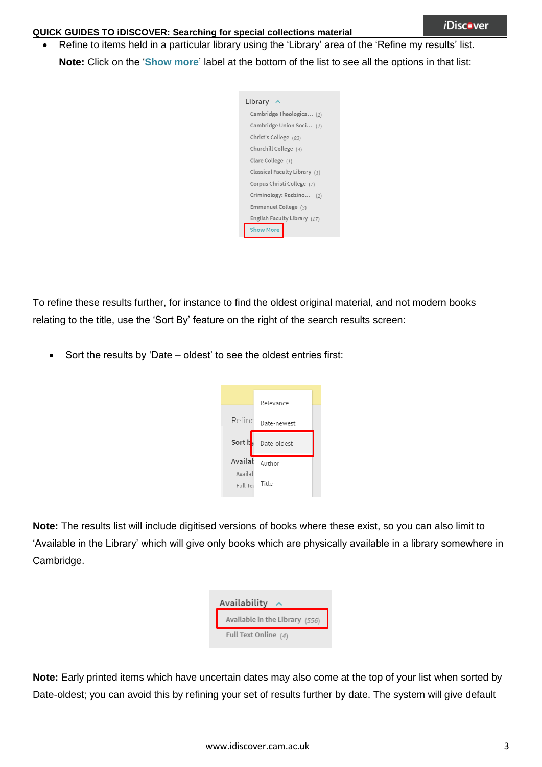Refine to items held in a particular library using the 'Library' area of the 'Refine my results' list. **Note:** Click on the '**Show more**' label at the bottom of the list to see all the options in that list:



To refine these results further, for instance to find the oldest original material, and not modern books relating to the title, use the 'Sort By' feature on the right of the search results screen:

Sort the results by 'Date – oldest' to see the oldest entries first:



**Note:** The results list will include digitised versions of books where these exist, so you can also limit to 'Available in the Library' which will give only books which are physically available in a library somewhere in Cambridge.

| Availability                   |  |
|--------------------------------|--|
| Available in the Library (556) |  |
| Full Text Online $(4)$         |  |

**Note:** Early printed items which have uncertain dates may also come at the top of your list when sorted by Date-oldest; you can avoid this by refining your set of results further by date. The system will give default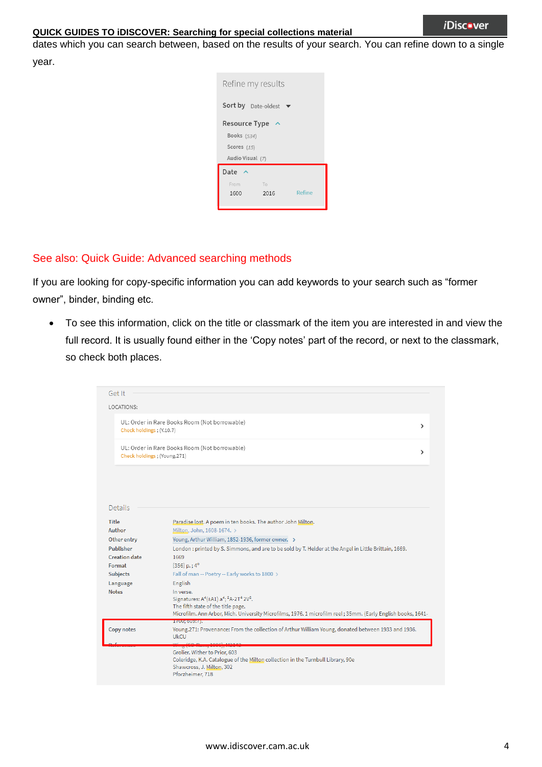#### *i*Disc.ver

#### **QUICK GUIDES TO iDISCOVER: Searching for special collections material**

dates which you can search between, based on the results of your search. You can refine down to a single

year.

| Refine my results    |      |        |
|----------------------|------|--------|
| Sort by Date-oldest  |      |        |
| <b>Resource Type</b> |      |        |
| <b>Books</b> (534)   |      |        |
| Scores $(15)$        |      |        |
| Audio Visual (7)     |      |        |
| Date                 |      |        |
| From                 | To   |        |
| 1600                 | 2016 | Refine |
|                      |      |        |

### See also: Quick Guide: Advanced searching methods

If you are looking for copy-specific information you can add keywords to your search such as "former owner", binder, binding etc.

 To see this information, click on the title or classmark of the item you are interested in and view the full record. It is usually found either in the 'Copy notes' part of the record, or next to the classmark, so check both places.

| Get It                                                                                                              |                                                                                                                                                                   |  |  |
|---------------------------------------------------------------------------------------------------------------------|-------------------------------------------------------------------------------------------------------------------------------------------------------------------|--|--|
| LOCATIONS:                                                                                                          |                                                                                                                                                                   |  |  |
| UL: Order in Rare Books Room (Not borrowable)<br>Check holdings; (Y.10.7)                                           |                                                                                                                                                                   |  |  |
| UL: Order in Rare Books Room (Not borrowable)<br>Check holdings; (Young.271)                                        |                                                                                                                                                                   |  |  |
|                                                                                                                     |                                                                                                                                                                   |  |  |
|                                                                                                                     |                                                                                                                                                                   |  |  |
| Details                                                                                                             |                                                                                                                                                                   |  |  |
| Title                                                                                                               | Paradise lost. A poem in ten books. The author John Milton.                                                                                                       |  |  |
| Author<br>Milton, John, 1608-1674. >                                                                                |                                                                                                                                                                   |  |  |
| Other entry<br>Young, Arthur William, 1852-1936, former owner. >                                                    |                                                                                                                                                                   |  |  |
| Publisher<br>London : printed by S. Simmons, and are to be sold by T. Helder at the Angel in Little Brittain, 1669. |                                                                                                                                                                   |  |  |
| <b>Creation date</b><br>1669                                                                                        |                                                                                                                                                                   |  |  |
| [356] $p.$ ; 4 <sup>o</sup><br>Format                                                                               |                                                                                                                                                                   |  |  |
| Subjects                                                                                                            | Fall of man -- Poetry -- Early works to 1800 >                                                                                                                    |  |  |
| Language                                                                                                            | English                                                                                                                                                           |  |  |
| <b>Notes</b>                                                                                                        | In verse.                                                                                                                                                         |  |  |
|                                                                                                                     | Signatures: A <sup>4</sup> (±A1) a <sup>4</sup> ; <sup>2</sup> A-2T <sup>4</sup> 2V <sup>2</sup> .                                                                |  |  |
|                                                                                                                     | The fifth state of the title page.                                                                                                                                |  |  |
|                                                                                                                     | Microfilm. Ann Arbor, Mich. University Microfilms, 1976. 1 microfilm reel; 35mm. (Early English books, 1641-                                                      |  |  |
| Copy notes                                                                                                          | 1100,009.1).<br>Young, 271: Provenance: From the collection of Arthur William Young, donated between 1933 and 1936.<br><b>UkCU</b>                                |  |  |
|                                                                                                                     | $-(CD - 100C)$ M2142                                                                                                                                              |  |  |
|                                                                                                                     | Grolier. Wither to Prior, 603<br>Coleridge, K.A. Catalogue of the Milton collection in the Turnbull Library, 90e<br>Shawcross, J. Milton, 302<br>Pforzheimer, 718 |  |  |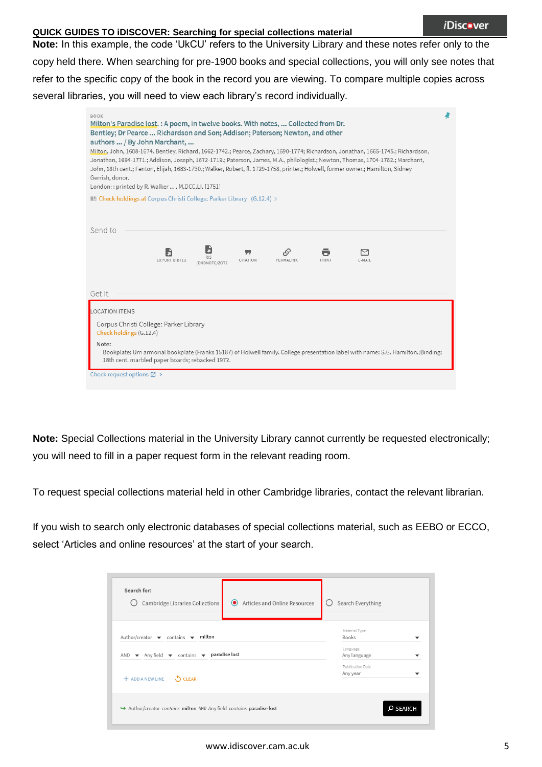**Note:** In this example, the code 'UkCU' refers to the University Library and these notes refer only to the copy held there. When searching for pre-1900 books and special collections, you will only see notes that refer to the specific copy of the book in the record you are viewing. To compare multiple copies across several libraries, you will need to view each library's record individually.

| <b>BOOK</b><br>Milton's Paradise lost. : A poem, in twelve books. With notes,  Collected from Dr.<br>Bentley; Dr Pearce  Richardson and Son; Addison; Paterson; Newton, and other<br>authors  / By John Marchant,<br>Milton, John, 1608-1674. Bentley, Richard, 1662-1742.; Pearce, Zachary, 1690-1774; Richardson, Jonathan, 1665-1745.; Richardson,<br>Jonathan, 1694-1771.; Addison, Joseph, 1672-1719.; Paterson, James, M.A., philologist.; Newton, Thomas, 1704-1782.; Marchant,<br>John, 18th cent.; Fenton, Elijah, 1683-1730.; Walker, Robert, fl. 1729-1758, printer.; Holwell, former owner.; Hamilton, Sidney<br>Gerrish, donor.<br>London:: printed by R. Walker , M,DCC,LI. [1751] |  |
|--------------------------------------------------------------------------------------------------------------------------------------------------------------------------------------------------------------------------------------------------------------------------------------------------------------------------------------------------------------------------------------------------------------------------------------------------------------------------------------------------------------------------------------------------------------------------------------------------------------------------------------------------------------------------------------------------|--|
| $\parallel$ Check holdings at Corpus Christi College: Parker Library (G.12.4) >                                                                                                                                                                                                                                                                                                                                                                                                                                                                                                                                                                                                                  |  |
|                                                                                                                                                                                                                                                                                                                                                                                                                                                                                                                                                                                                                                                                                                  |  |
| Send to                                                                                                                                                                                                                                                                                                                                                                                                                                                                                                                                                                                                                                                                                          |  |
| 99<br>$\sim$<br><b>RIS</b><br><b>EXPORT BIBTEX</b><br>CITATION<br>PERMALINK<br>PRINT<br>E-MAIL<br>(ENDNOTE/ZOTE                                                                                                                                                                                                                                                                                                                                                                                                                                                                                                                                                                                  |  |
| Get It                                                                                                                                                                                                                                                                                                                                                                                                                                                                                                                                                                                                                                                                                           |  |
| <b>LOCATION ITEMS</b>                                                                                                                                                                                                                                                                                                                                                                                                                                                                                                                                                                                                                                                                            |  |
| Corpus Christi College: Parker Library<br>Check holdings (G.12.4)                                                                                                                                                                                                                                                                                                                                                                                                                                                                                                                                                                                                                                |  |
| Note:<br>Bookplate: Urn armorial bookplate (Franks 15187) of Holwell family. College presentation label with name: S.G. Hamilton.;Binding:<br>18th cent. marbled paper boards; rebacked 1972.                                                                                                                                                                                                                                                                                                                                                                                                                                                                                                    |  |
| Check request options $\boxtimes$ >                                                                                                                                                                                                                                                                                                                                                                                                                                                                                                                                                                                                                                                              |  |

**Note:** Special Collections material in the University Library cannot currently be requested electronically; you will need to fill in a paper request form in the relevant reading room.

To request special collections material held in other Cambridge libraries, contact the relevant librarian.

If you wish to search only electronic databases of special collections material, such as EEBO or ECCO, select 'Articles and online resources' at the start of your search.

| Search for:<br>Cambridge Libraries Collections<br>Articles and Online Resources<br>⊙                                                                                               | Search Everything                                              |
|------------------------------------------------------------------------------------------------------------------------------------------------------------------------------------|----------------------------------------------------------------|
| milton<br>Author/creator $\blacktriangledown$ contains $\blacktriangledown$<br>AND $\blacktriangledown$ Any field $\blacktriangledown$ contains $\blacktriangledown$ paradise lost | Material Type<br><b>Books</b><br>▼<br>Language<br>Any language |
| <b>S</b> CLEAR<br>+ ADD A NEW LINE                                                                                                                                                 | Publication Date<br>Any year<br>$\overline{\phantom{a}}$       |
| Author/creator contains milton AND Any field contains paradise lost                                                                                                                | O SEARCH                                                       |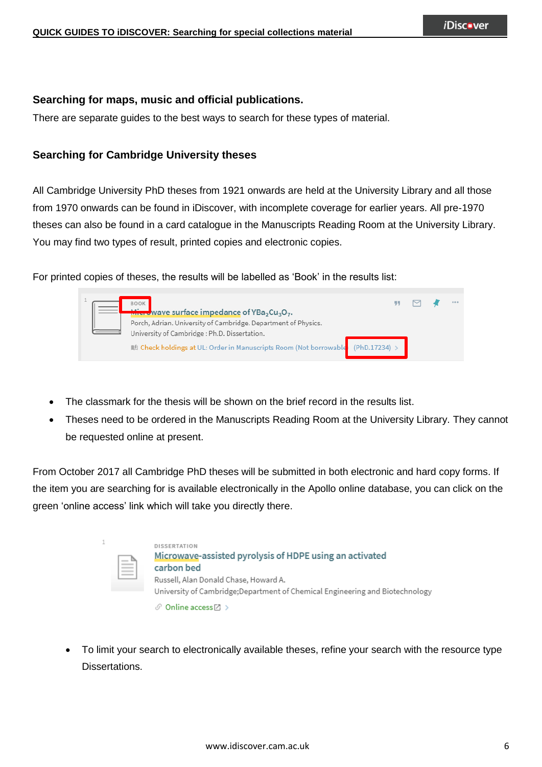## **Searching for maps, music and official publications.**

There are separate guides to the best ways to search for these types of material.

## **Searching for Cambridge University theses**

 $\overline{1}$ 

All Cambridge University PhD theses from 1921 onwards are held at the University Library and all those from 1970 onwards can be found in iDiscover, with incomplete coverage for earlier years. All pre-1970 theses can also be found in a card catalogue in the Manuscripts Reading Room at the University Library. You may find two types of result, printed copies and electronic copies.

For printed copies of theses, the results will be labelled as 'Book' in the results list:



- The classmark for the thesis will be shown on the brief record in the results list.
- Theses need to be ordered in the Manuscripts Reading Room at the University Library. They cannot be requested online at present.

From October 2017 all Cambridge PhD theses will be submitted in both electronic and hard copy forms. If the item you are searching for is available electronically in the Apollo online database, you can click on the green 'online access' link which will take you directly there.

| È | <b>DISSERTATION</b><br>Microwave-assisted pyrolysis of HDPE using an activated<br>carbon bed<br>Russell, Alan Donald Chase, Howard A.<br>University of Cambridge; Department of Chemical Engineering and Biotechnology |
|---|------------------------------------------------------------------------------------------------------------------------------------------------------------------------------------------------------------------------|
|   | $\mathcal{O}$ Online access $\boxtimes$ >                                                                                                                                                                              |

 To limit your search to electronically available theses, refine your search with the resource type Dissertations.